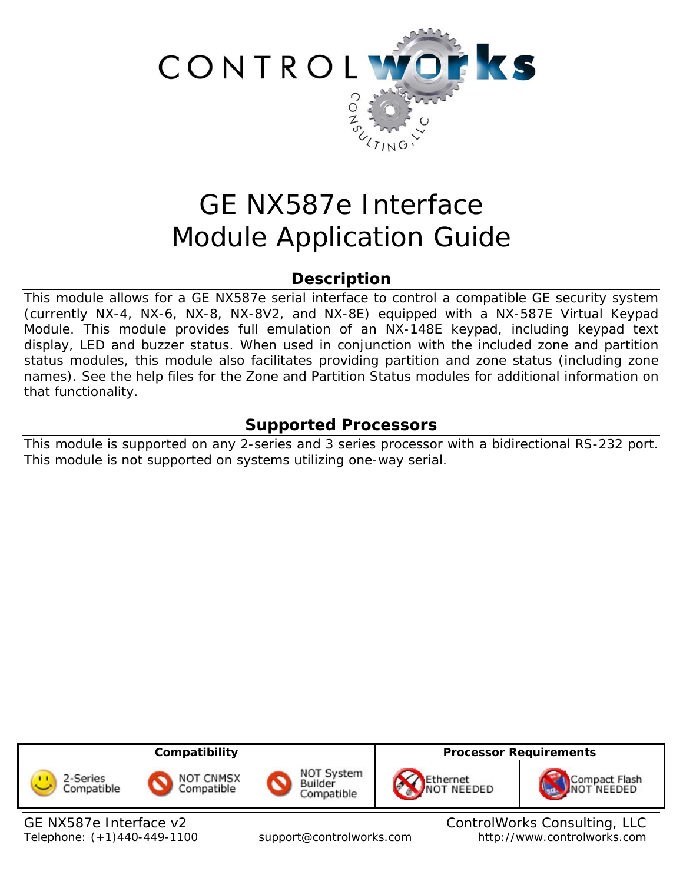

# GE NX587e Interface Module Application Guide

# **Description**

This module allows for a GE NX587e serial interface to control a compatible GE security system (currently NX-4, NX-6, NX-8, NX-8V2, and NX-8E) equipped with a NX-587E Virtual Keypad Module. This module provides full emulation of an NX-148E keypad, including keypad text display, LED and buzzer status. When used in conjunction with the included zone and partition status modules, this module also facilitates providing partition and zone status (including zone names). See the help files for the Zone and Partition Status modules for additional information on that functionality.

# **Supported Processors**

This module is supported on any 2-series and 3 series processor with a bidirectional RS-232 port. This module is not supported on systems utilizing one-way serial.

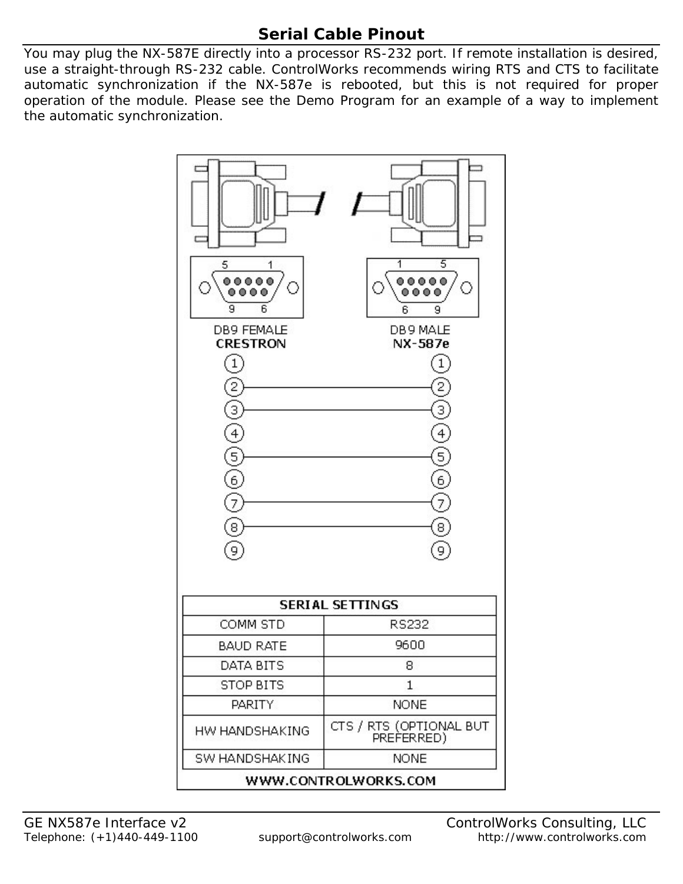# **Serial Cable Pinout**

You may plug the NX-587E directly into a processor RS-232 port. If remote installation is desired, use a straight-through RS-232 cable. ControlWorks recommends wiring RTS and CTS to facilitate automatic synchronization if the NX-587e is rebooted, but this is not required for proper operation of the module. Please see the Demo Program for an example of a way to implement the automatic synchronization.

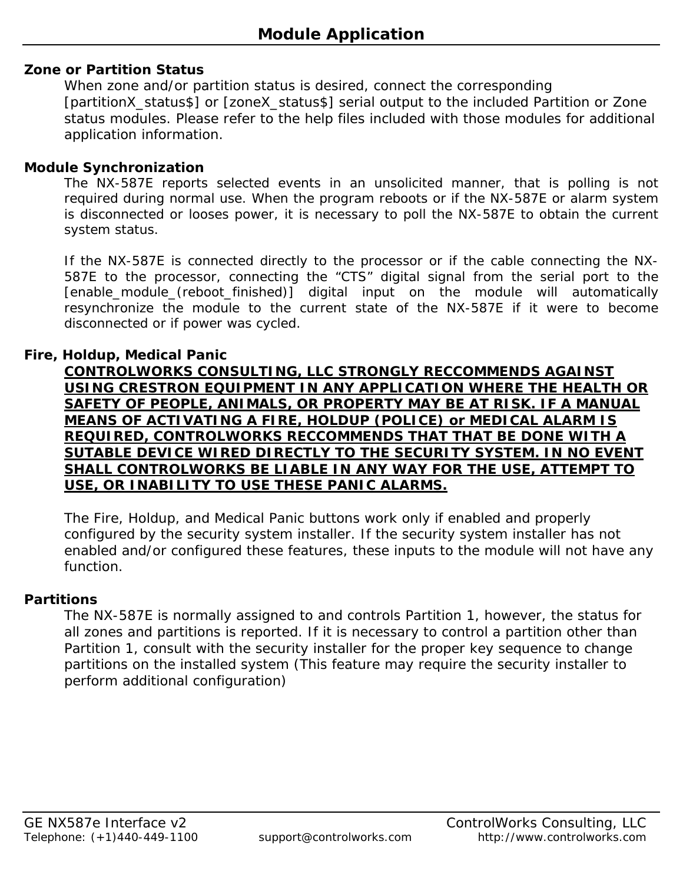## **Zone or Partition Status**

When zone and/or partition status is desired, connect the corresponding [partitionX\_status\$] or [zoneX\_status\$] serial output to the included Partition or Zone status modules. Please refer to the help files included with those modules for additional application information.

### **Module Synchronization**

The NX-587E reports selected events in an unsolicited manner, that is polling is not required during normal use. When the program reboots or if the NX-587E or alarm system is disconnected or looses power, it is necessary to poll the NX-587E to obtain the current system status.

If the NX-587E is connected directly to the processor or if the cable connecting the NX-587E to the processor, connecting the "CTS" digital signal from the serial port to the [enable\_module\_(reboot\_finished)] digital input on the module will automatically resynchronize the module to the current state of the NX-587E if it were to become disconnected or if power was cycled.

## **Fire, Holdup, Medical Panic**

**CONTROLWORKS CONSULTING, LLC STRONGLY RECCOMMENDS AGAINST USING CRESTRON EQUIPMENT IN ANY APPLICATION WHERE THE HEALTH OR SAFETY OF PEOPLE, ANIMALS, OR PROPERTY MAY BE AT RISK. IF A MANUAL MEANS OF ACTIVATING A FIRE, HOLDUP (POLICE) or MEDICAL ALARM IS REQUIRED, CONTROLWORKS RECCOMMENDS THAT THAT BE DONE WITH A SUTABLE DEVICE WIRED DIRECTLY TO THE SECURITY SYSTEM. IN NO EVENT SHALL CONTROLWORKS BE LIABLE IN ANY WAY FOR THE USE, ATTEMPT TO USE, OR INABILITY TO USE THESE PANIC ALARMS.**

The Fire, Holdup, and Medical Panic buttons work only if enabled and properly configured by the security system installer. If the security system installer has not enabled and/or configured these features, these inputs to the module will not have any function.

## **Partitions**

The NX-587E is normally assigned to and controls Partition 1, however, the status for all zones and partitions is reported. If it is necessary to control a partition other than Partition 1, consult with the security installer for the proper key sequence to change partitions on the installed system (This feature may require the security installer to perform additional configuration)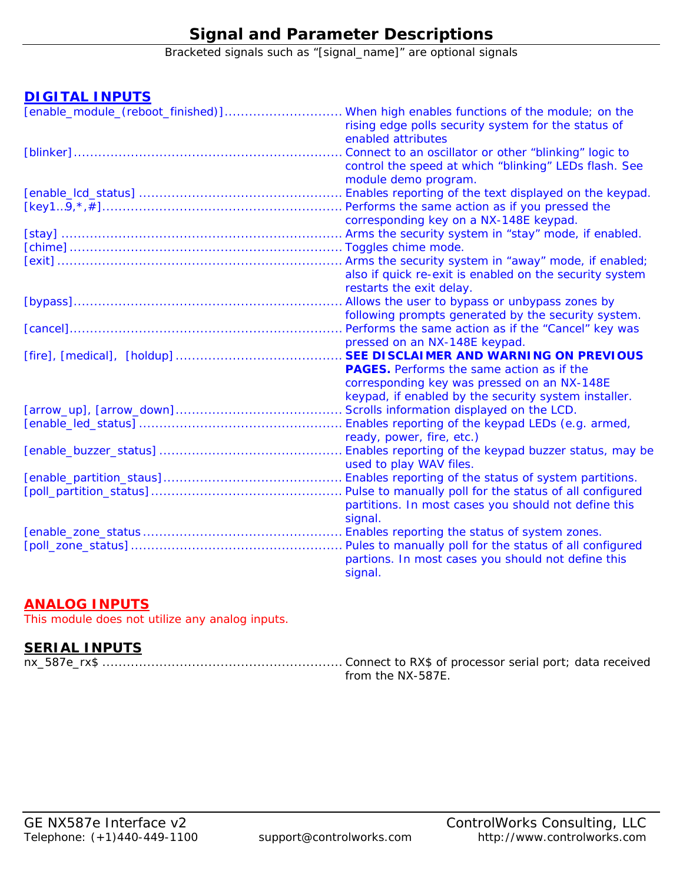# **Signal and Parameter Descriptions**

Bracketed signals such as "[signal\_name]" are optional signals

### **DIGITAL INPUTS**

| [enable_module_(reboot_finished)]When high enables functions of the module; on the |                                                           |
|------------------------------------------------------------------------------------|-----------------------------------------------------------|
|                                                                                    | rising edge polls security system for the status of       |
|                                                                                    | enabled attributes                                        |
|                                                                                    | Connect to an oscillator or other "blinking" logic to     |
|                                                                                    | control the speed at which "blinking" LEDs flash. See     |
|                                                                                    | module demo program.                                      |
|                                                                                    | . Enables reporting of the text displayed on the keypad.  |
|                                                                                    | . Performs the same action as if you pressed the          |
|                                                                                    | corresponding key on a NX-148E keypad.                    |
|                                                                                    | . Arms the security system in "stay" mode, if enabled.    |
|                                                                                    |                                                           |
|                                                                                    |                                                           |
|                                                                                    | also if quick re-exit is enabled on the security system   |
|                                                                                    | restarts the exit delay.                                  |
|                                                                                    | Allows the user to bypass or unbypass zones by            |
|                                                                                    | following prompts generated by the security system.       |
|                                                                                    | Performs the same action as if the "Cancel" key was       |
|                                                                                    | pressed on an NX-148E keypad.                             |
|                                                                                    | SEE DISCLAIMER AND WARNING ON PREVIOUS                    |
|                                                                                    | <b>PAGES.</b> Performs the same action as if the          |
|                                                                                    | corresponding key was pressed on an NX-148E               |
|                                                                                    | keypad, if enabled by the security system installer.      |
|                                                                                    |                                                           |
|                                                                                    |                                                           |
|                                                                                    | ready, power, fire, etc.)                                 |
|                                                                                    | . Enables reporting of the keypad buzzer status, may be   |
|                                                                                    | used to play WAV files.                                   |
|                                                                                    | . Enables reporting of the status of system partitions.   |
|                                                                                    | Pulse to manually poll for the status of all configured   |
|                                                                                    | partitions. In most cases you should not define this      |
|                                                                                    | signal.                                                   |
|                                                                                    | . Enables reporting the status of system zones.           |
|                                                                                    | . Pules to manually poll for the status of all configured |
|                                                                                    | partions. In most cases you should not define this        |
|                                                                                    | signal.                                                   |

## **ANALOG INPUTS**

This module does not utilize any analog inputs.

## **SERIAL INPUTS**

nx\_587e\_rx\$ ........................................................... Connect to RX\$ of processor serial port; data received from the NX-587E.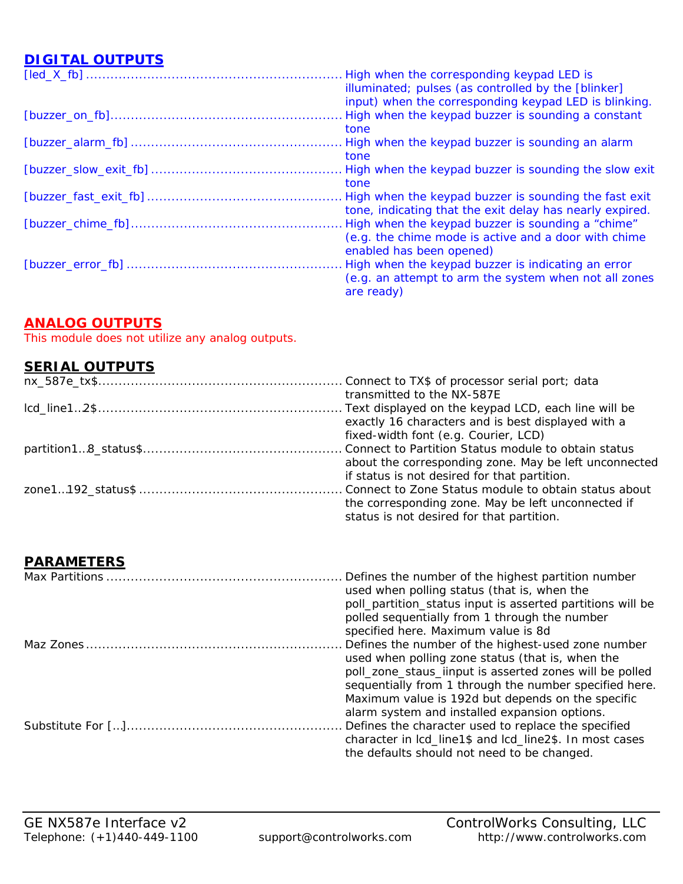## **DIGITAL OUTPUTS**

| High when the corresponding keypad LED is                |
|----------------------------------------------------------|
| illuminated; pulses (as controlled by the [blinker]      |
| input) when the corresponding keypad LED is blinking.    |
| High when the keypad buzzer is sounding a constant       |
| tone                                                     |
|                                                          |
| tone                                                     |
| High when the keypad buzzer is sounding the slow exit    |
| tone                                                     |
| High when the keypad buzzer is sounding the fast exit    |
| tone, indicating that the exit delay has nearly expired. |
| High when the keypad buzzer is sounding a "chime"        |
| (e.g. the chime mode is active and a door with chime     |
| enabled has been opened)                                 |
| High when the keypad buzzer is indicating an error       |
| (e.g. an attempt to arm the system when not all zones    |
| are ready)                                               |

## **ANALOG OUTPUTS**

This module does not utilize any analog outputs.

## **SERIAL OUTPUTS**

| transmitted to the NX-587E                            |
|-------------------------------------------------------|
|                                                       |
| exactly 16 characters and is best displayed with a    |
| fixed-width font (e.g. Courier, LCD)                  |
|                                                       |
| about the corresponding zone. May be left unconnected |
| if status is not desired for that partition.          |
|                                                       |
| the corresponding zone. May be left unconnected if    |
| status is not desired for that partition.             |

## **PARAMETERS**

|  | Defines the number of the highest partition number<br>used when polling status (that is, when the<br>poll_partition_status input is asserted partitions will be<br>polled sequentially from 1 through the number |
|--|------------------------------------------------------------------------------------------------------------------------------------------------------------------------------------------------------------------|
|  | specified here. Maximum value is 8d                                                                                                                                                                              |
|  | Defines the number of the highest-used zone number                                                                                                                                                               |
|  | used when polling zone status (that is, when the                                                                                                                                                                 |
|  | poll_zone_staus_iinput is asserted zones will be polled                                                                                                                                                          |
|  | sequentially from 1 through the number specified here.                                                                                                                                                           |
|  | Maximum value is 192d but depends on the specific                                                                                                                                                                |
|  | alarm system and installed expansion options.                                                                                                                                                                    |
|  | Defines the character used to replace the specified                                                                                                                                                              |
|  | character in lcd_line1\$ and lcd_line2\$. In most cases                                                                                                                                                          |
|  | the defaults should not need to be changed.                                                                                                                                                                      |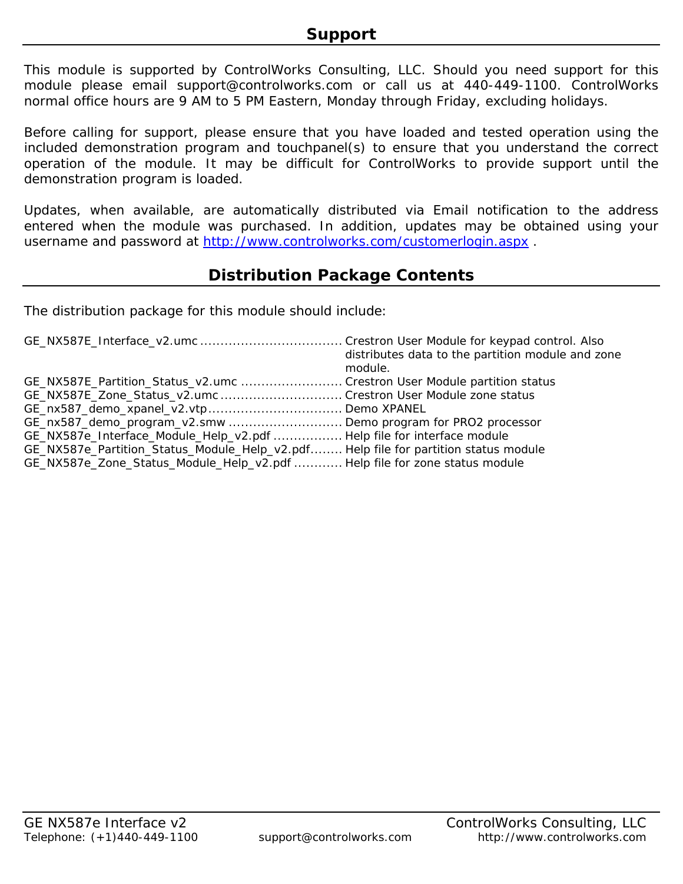This module is supported by ControlWorks Consulting, LLC. Should you need support for this module please email support@controlworks.com or call us at 440-449-1100. ControlWorks normal office hours are 9 AM to 5 PM Eastern, Monday through Friday, excluding holidays.

Before calling for support, please ensure that you have loaded and tested operation using the included demonstration program and touchpanel(s) to ensure that you understand the correct operation of the module. It may be difficult for ControlWorks to provide support until the demonstration program is loaded.

Updates, when available, are automatically distributed via Email notification to the address entered when the module was purchased. In addition, updates may be obtained using your username and password at http://www.controlworks.com/customerlogin.aspx .

## **Distribution Package Contents**

The distribution package for this module should include:

|                                                                                     | distributes data to the partition module and zone<br>module. |
|-------------------------------------------------------------------------------------|--------------------------------------------------------------|
| GE_NX587E_Partition_Status_v2.umc  Crestron User Module partition status            |                                                              |
| GE_NX587E_Zone_Status_v2.umc  Crestron User Module zone status                      |                                                              |
|                                                                                     |                                                              |
| GE_nx587_demo_program_v2.smw Demo program for PRO2 processor                        |                                                              |
| GE_NX587e_Interface_Module_Help_v2.pdf  Help file for interface module              |                                                              |
| GE_NX587e_Partition_Status_Module_Help_v2.pdf Help file for partition status module |                                                              |
| GE_NX587e_Zone_Status_Module_Help_v2.pdf  Help file for zone status module          |                                                              |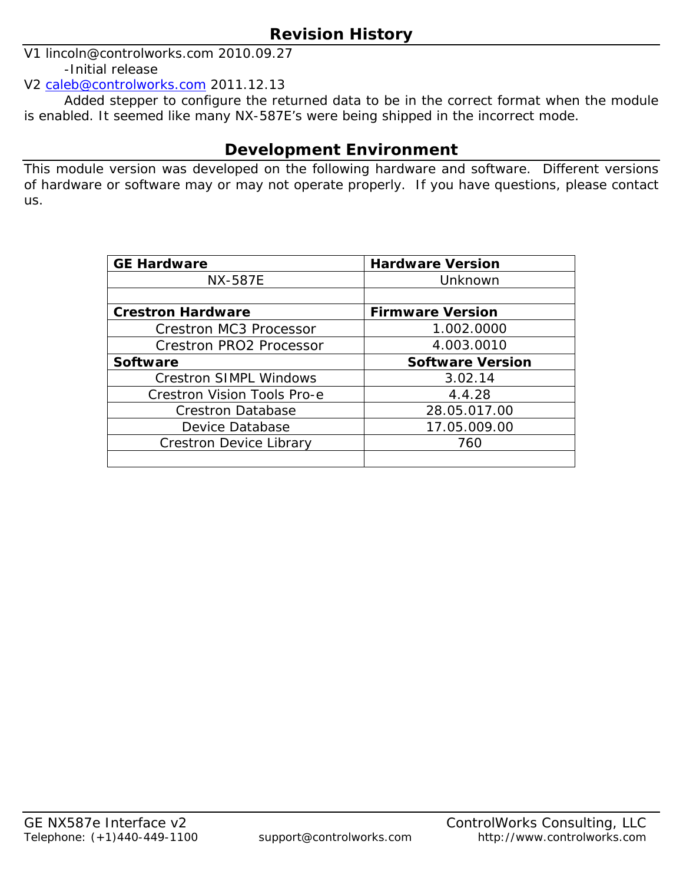V1 lincoln@controlworks.com 2010.09.27 -Initial release

V2 caleb@controlworks.com 2011.12.13

 Added stepper to configure the returned data to be in the correct format when the module is enabled. It seemed like many NX-587E's were being shipped in the incorrect mode.

## **Development Environment**

This module version was developed on the following hardware and software. Different versions of hardware or software may or may not operate properly. If you have questions, please contact us.

| <b>GE Hardware</b>                 | <b>Hardware Version</b> |
|------------------------------------|-------------------------|
| <b>NX-587E</b>                     | Unknown                 |
|                                    |                         |
| <b>Crestron Hardware</b>           | <b>Firmware Version</b> |
| <b>Crestron MC3 Processor</b>      | 1.002.0000              |
| Crestron PRO2 Processor            | 4.003.0010              |
| <b>Software</b>                    | <b>Software Version</b> |
| <b>Crestron SIMPL Windows</b>      | 3.02.14                 |
| <b>Crestron Vision Tools Pro-e</b> | 4.4.28                  |
| <b>Crestron Database</b>           | 28.05.017.00            |
| Device Database                    | 17.05.009.00            |
| <b>Crestron Device Library</b>     | 760                     |
|                                    |                         |